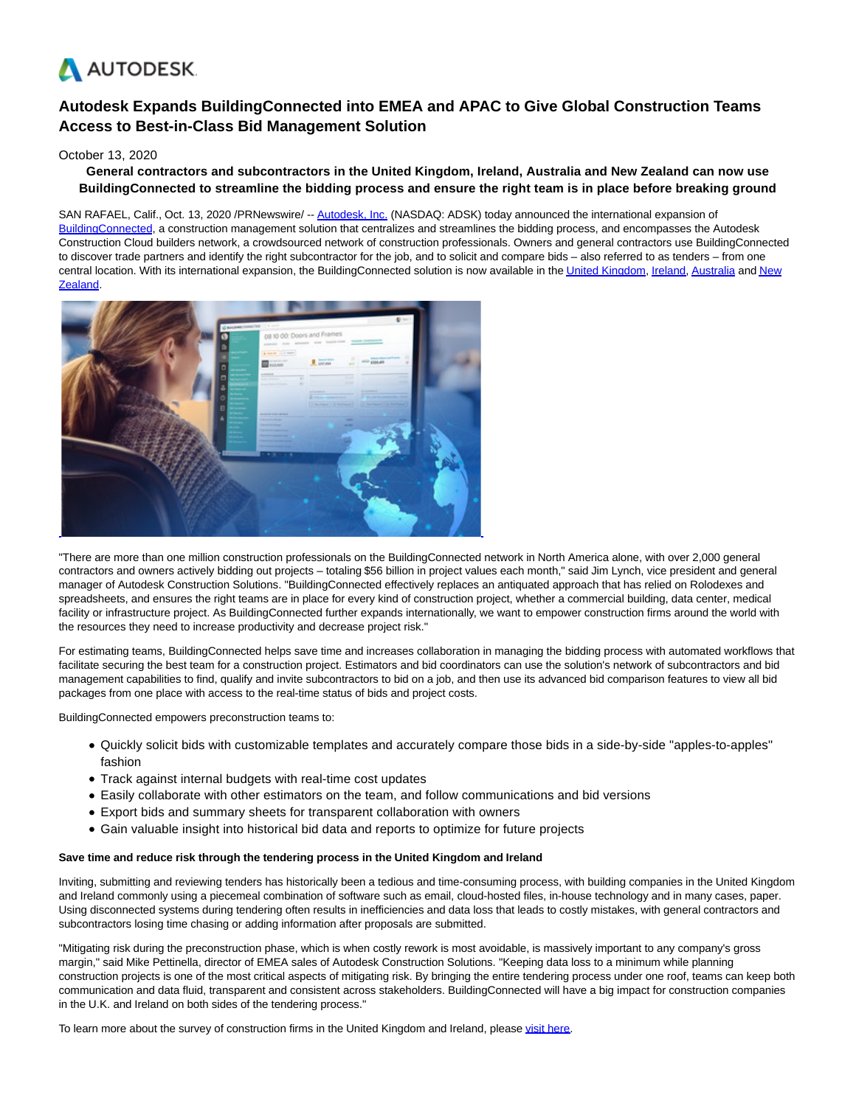

# **Autodesk Expands BuildingConnected into EMEA and APAC to Give Global Construction Teams Access to Best-in-Class Bid Management Solution**

# October 13, 2020

# **General contractors and subcontractors in the United Kingdom, Ireland, Australia and New Zealand can now use BuildingConnected to streamline the bidding process and ensure the right team is in place before breaking ground**

SAN RAFAEL, Calif., Oct. 13, 2020 /PRNewswire/ -- [Autodesk, Inc. \(](https://c212.net/c/link/?t=0&l=en&o=2947473-1&h=570769956&u=http%3A%2F%2Fwww.autodesk.com%2F&a=Autodesk%2C+Inc.)NASDAQ: ADSK) today announced the international expansion of [BuildingConnected,](https://c212.net/c/link/?t=0&l=en&o=2947473-1&h=3929080506&u=https%3A%2F%2Fwww.buildingconnected.com%2F&a=BuildingConnected) a construction management solution that centralizes and streamlines the bidding process, and encompasses the Autodesk Construction Cloud builders network, a crowdsourced network of construction professionals. Owners and general contractors use BuildingConnected to discover trade partners and identify the right subcontractor for the job, and to solicit and compare bids – also referred to as tenders – from one central location. With its international expansion, the BuildingConnected solution is now available in th[e United Kingdom,](https://c212.net/c/link/?t=0&l=en&o=2947473-1&h=4240724068&u=https%3A%2F%2Fbuildingconnected.co.uk%2F&a=United+Kingdom) [Ireland,](https://c212.net/c/link/?t=0&l=en&o=2947473-1&h=2776168891&u=https%3A%2F%2Fbuildingconnected.ie%2F&a=Ireland) [Australia a](https://c212.net/c/link/?t=0&l=en&o=2947473-1&h=3135697700&u=https%3A%2F%2Fbuildingconnected.com.au%2F&a=Australia)n[d New](https://c212.net/c/link/?t=0&l=en&o=2947473-1&h=634134771&u=https%3A%2F%2Fbuildingconnected.co.nz%2F&a=New+Zealand) Zealand.



"There are more than one million construction professionals on the BuildingConnected network in North America alone, with over 2,000 general contractors and owners actively bidding out projects – totaling \$56 billion in project values each month," said Jim Lynch, vice president and general manager of Autodesk Construction Solutions. "BuildingConnected effectively replaces an antiquated approach that has relied on Rolodexes and spreadsheets, and ensures the right teams are in place for every kind of construction project, whether a commercial building, data center, medical facility or infrastructure project. As BuildingConnected further expands internationally, we want to empower construction firms around the world with the resources they need to increase productivity and decrease project risk."

For estimating teams, BuildingConnected helps save time and increases collaboration in managing the bidding process with automated workflows that facilitate securing the best team for a construction project. Estimators and bid coordinators can use the solution's network of subcontractors and bid management capabilities to find, qualify and invite subcontractors to bid on a job, and then use its advanced bid comparison features to view all bid packages from one place with access to the real-time status of bids and project costs.

BuildingConnected empowers preconstruction teams to:

- Quickly solicit bids with customizable templates and accurately compare those bids in a side-by-side "apples-to-apples" fashion
- Track against internal budgets with real-time cost updates
- Easily collaborate with other estimators on the team, and follow communications and bid versions
- Export bids and summary sheets for transparent collaboration with owners
- Gain valuable insight into historical bid data and reports to optimize for future projects

## **Save time and reduce risk through the tendering process in the United Kingdom and Ireland**

Inviting, submitting and reviewing tenders has historically been a tedious and time-consuming process, with building companies in the United Kingdom and Ireland commonly using a piecemeal combination of software such as email, cloud-hosted files, in-house technology and in many cases, paper. Using disconnected systems during tendering often results in inefficiencies and data loss that leads to costly mistakes, with general contractors and subcontractors losing time chasing or adding information after proposals are submitted.

"Mitigating risk during the preconstruction phase, which is when costly rework is most avoidable, is massively important to any company's gross margin," said Mike Pettinella, director of EMEA sales of Autodesk Construction Solutions. "Keeping data loss to a minimum while planning construction projects is one of the most critical aspects of mitigating risk. By bringing the entire tendering process under one roof, teams can keep both communication and data fluid, transparent and consistent across stakeholders. BuildingConnected will have a big impact for construction companies in the U.K. and Ireland on both sides of the tendering process."

To learn more about the survey of construction firms in the United Kingdom and Ireland, please [visit here.](https://c212.net/c/link/?t=0&l=en&o=2947473-1&h=791257038&u=http%3A%2F%2Fget.construction.autodesk.com%2Fresearch-report-connected-procurement%2F&a=visit+here)